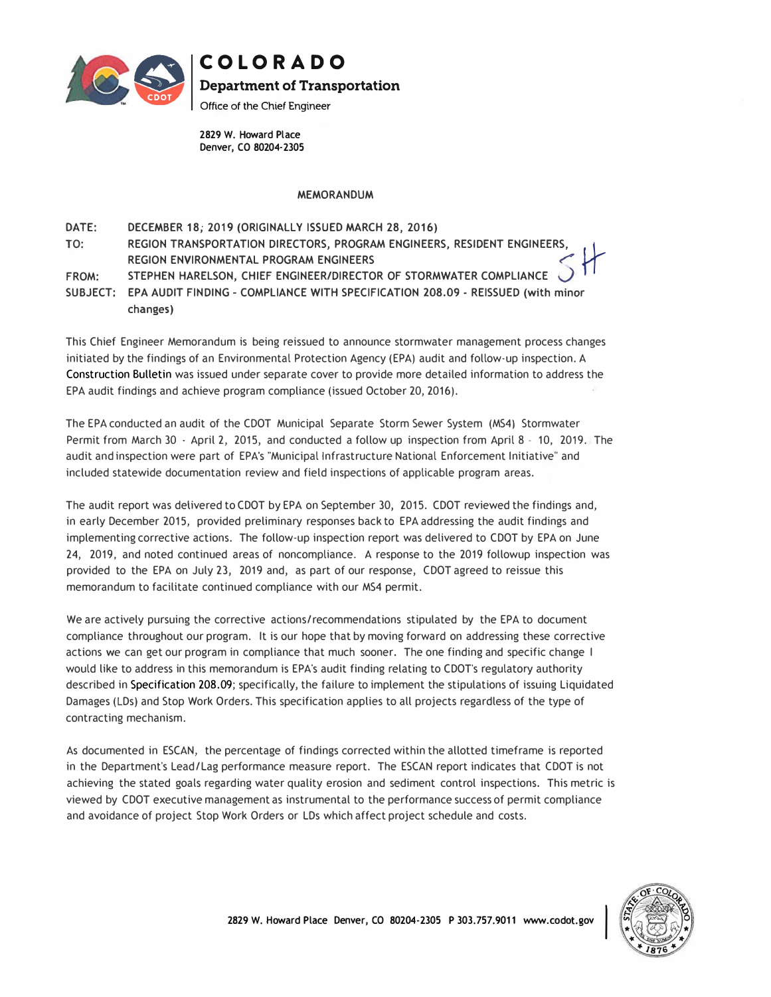

## **COLORADO Department of Transportation**

Office of the Chief Engineer

2829 W. Howard Place Denver, CO 80204-2305

## MEMORANDUM

DATE: **TO: FROM:**  DECEMBER 18; 2019 (ORIGINALLY ISSUED MARCH 28, 2016) **REGION TRANSPORTATION DIRECTORS, PROGRAM ENGINEERS, RESIDENT ENGINEERS, ( � REGION ENVIRONMENTAL PROGRAM ENGINEERS STEPHEN HARELSON, CHIEF ENGINEER/DIRECTOR OF STORMWATER COMPLIANCE s fl SUBJECT: EPA AUDIT FINDING - COMPLIANCE WITH SPECIFICATION 208.09 - REISSUED (with minor changes)** 

This Chief Engineer Memorandum is being reissued to announce stormwater management process changes initiated by the findings of an Environmental Protection Agency (EPA) audit and follow-up inspection. A Construction Bulletin was issued under separate cover to provide more detailed information to address the EPA audit findings and achieve program compliance (issued October 20, 2016).

The EPA conducted an audit of the CDOT Municipal Separate Storm Sewer System (MS4) Stormwater Permit from March 30 - April 2, 2015, and conducted a follow up inspection from April 8 - 10, 2019. The audit and inspection were part of EPA's "Municipal Infrastructure National Enforcement Initiative" and included statewide documentation review and field inspections of applicable program areas.

The audit report was delivered to CDOT by EPA on September 30, 2015. CDOT reviewed the findings and, in early December 2015, provided preliminary responses back to EPA addressing the audit findings and implementing corrective actions. The follow-up inspection report was delivered to CDOT by EPA on June 24, 2019, and noted continued areas of noncompliance. A response to the 2019 followup inspection was provided to the EPA on July 23, 2019 and, as part of our response, (DOT agreed to reissue this memorandum to facilitate continued compliance with our MS4 permit.

We are actively pursuing the corrective actions/recommendations stipulated by the EPA to document compliance throughout our program. It is our hope that by moving forward on addressing these corrective actions *we* can get our program in compliance that much sooner. The one finding and specific change I would like to address in this memorandum is EPA's audit finding relating to CDOT's regulatory authority described in Specification 208.09; specifically, the failure to implement the stipulations of issuing Liquidated Damages (LDs) and Stop Work Orders. This specification applies to all projects regardless of the type of contracting mechanism.

As documented in ESCAN, the percentage of findings corrected within the allotted timeframe is reported in the Department's Lead/Lag performance measure report. The ESCAN report indicates that CDOT is not achieving the stated goals regarding water quality erosion and sediment control inspections. This metric is viewed by (DOT executive management as instrumental to the performance success of permit compliance and avoidance of project Stop Work Orders or LDs which affect project schedule and costs.

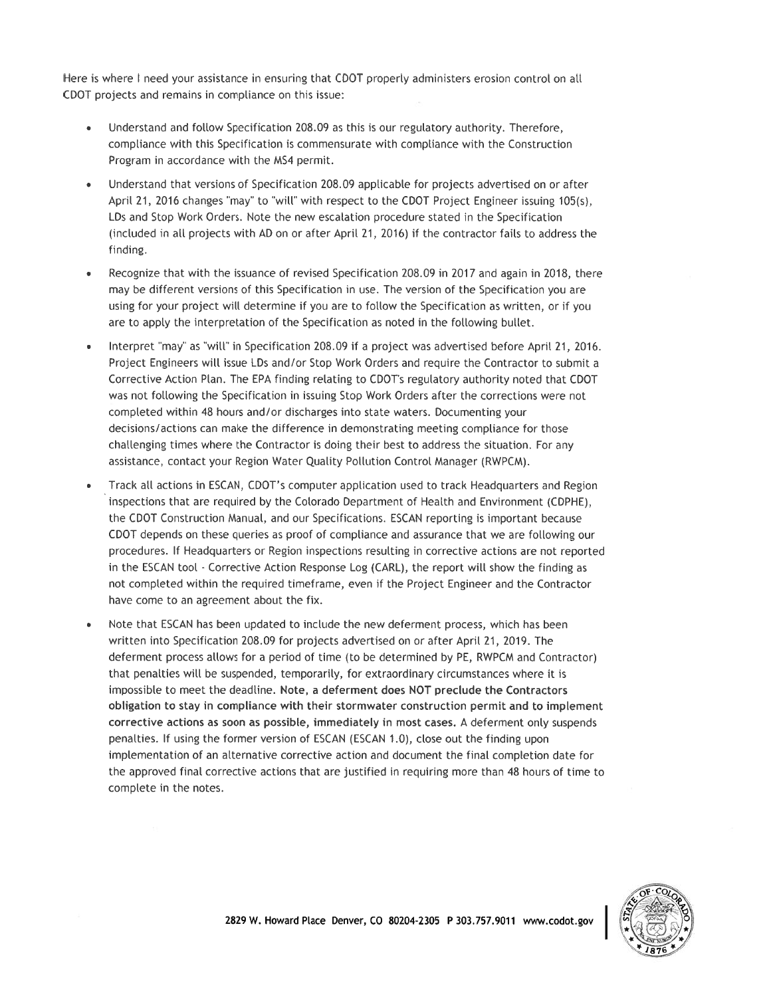Here is where I need your assistance in ensuring that CDOT properly administers erosion control on all CDOT projects and remains in compliance on this issue:

- Understand and follow Specification 208.09 as this is our regulatory authority. Therefore, compliance with this Specification is commensurate with compliance with the Construction Program in accordance with the MS4 permit.
- Understand that versions of Specification 208.09 applicable for projects advertised on or after April 21, 2016 changes "may" to "will" with respect to the CDOT Project Engineer issuing 105(s), LDs and Stop Work Orders. Note the new escalation procedure stated in the Specification (included in all projects with AD on or after April 21, 2016) if the contractor fails to address the finding.
- Recognize that with the issuance of revised Specification 208.09 in 2017 and again in 2018, there may be different versions of this Specification in use. The version of the Specification you are using for your project will determine if you are to follow the Specification as written, or if you are to apply the interpretation of the Specification as noted in the following bullet.
- Interpret "may" as "will" in Specification 208.09 if a project was advertised before April 21, 2016. Project Engineers will issue LDs and/or Stop Work Orders and require the Contractor to submit a Corrective Action Plan. The EPA finding relating to CDOT's regulatory authority noted that CDOT was not following the Specification in issuing Stop Work Orders after the corrections were not completed within 48 hours and/or discharges into state waters. Documenting your decisions/actions can make the difference in demonstrating meeting compliance for those challenging times where the Contractor is doing their best to address the situation. For any assistance, contact your Region Water Quality Pollution Control Manager (RWPCM).
- Track all actions in ESCAN, CDOT's computer application used to track Headquarters and Region inspections that are required by the Colorado Department of Health and Environment (CDPHE). the CDOT Construction Manual, and our Specifications. ESCAN reporting is important because CDOT depends on these queries as proof of compliance and assurance that we are following our procedures. If Headquarters or Region inspections resulting in corrective actions are not reported in the ESCAN tool - Corrective Action Response Log (CARL), the report will show the finding as not completed within the required timeframe, even if the Project Engineer and the Contractor have come to an agreement about the fix.
- Note that ESCAN has been updated to include the new deferment process, which has been written into Specification 208.09 for projects advertised on or after April 21, 2019. The deferment process allows for a period of time (to be determined by PE, RWPCM and Contractor) that penalties will be suspended, temporarily, for extraordinary circumstances where it is impossible to meet the deadline. Note, a deferment does NOT preclude the Contractors obligation to stay in compliance with their stormwater construction permit and to implement corrective actions as soon as possible, immediately in most cases. A deferment only suspends penalties. If using the former version of ESCAN (ESCAN 1.0), close out the finding upon implementation of an alternative corrective action and document the final completion date for the approved final corrective actions that are justified in requiring more than 48 hours of time to complete in the notes.